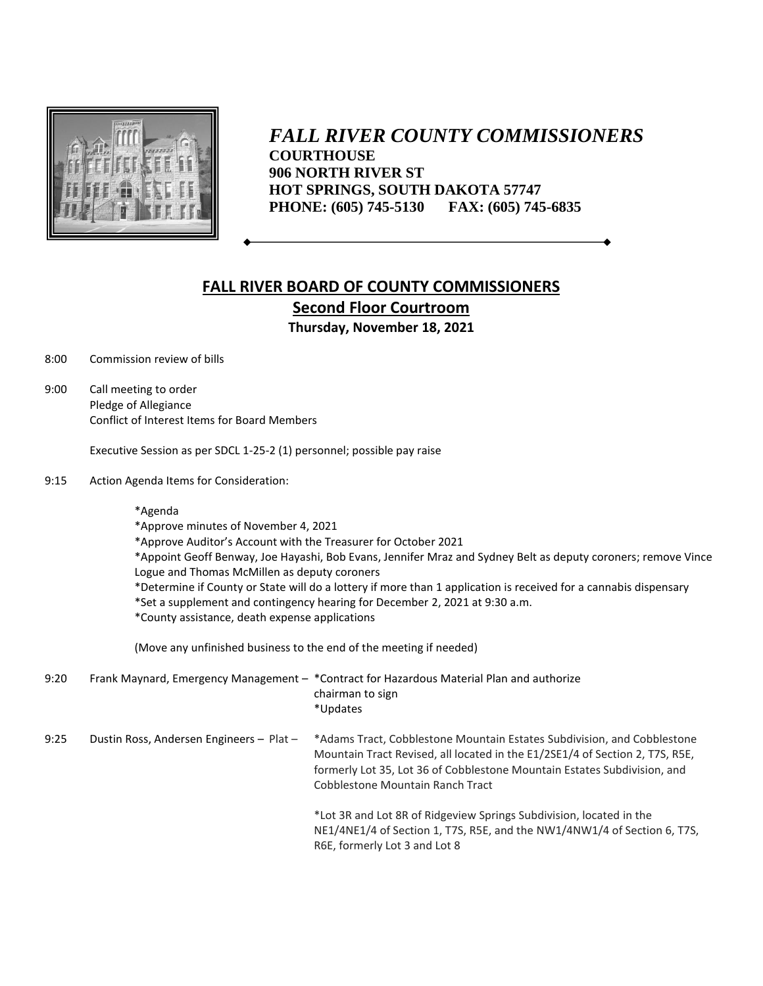

*FALL RIVER COUNTY COMMISSIONERS* **COURTHOUSE 906 NORTH RIVER ST HOT SPRINGS, SOUTH DAKOTA 57747 PHONE: (605) 745-5130 FAX: (605) 745-6835**

## **FALL RIVER BOARD OF COUNTY COMMISSIONERS Second Floor Courtroom Thursday, November 18, 2021**

8:00 Commission review of bills

9:00 Call meeting to order Pledge of Allegiance Conflict of Interest Items for Board Members

Executive Session as per SDCL 1-25-2 (1) personnel; possible pay raise

9:15 Action Agenda Items for Consideration:

\*Agenda

\*Approve minutes of November 4, 2021

\*Approve Auditor's Account with the Treasurer for October 2021

\*Appoint Geoff Benway, Joe Hayashi, Bob Evans, Jennifer Mraz and Sydney Belt as deputy coroners; remove Vince Logue and Thomas McMillen as deputy coroners

- \*Determine if County or State will do a lottery if more than 1 application is received for a cannabis dispensary
- \*Set a supplement and contingency hearing for December 2, 2021 at 9:30 a.m.
- \*County assistance, death expense applications

(Move any unfinished business to the end of the meeting if needed)

9:20 Frank Maynard, Emergency Management – \*Contract for Hazardous Material Plan and authorize chairman to sign \*Updates

9:25 Dustin Ross, Andersen Engineers – Plat – \*Adams Tract, Cobblestone Mountain Estates Subdivision, and Cobblestone Mountain Tract Revised, all located in the E1/2SE1/4 of Section 2, T7S, R5E, formerly Lot 35, Lot 36 of Cobblestone Mountain Estates Subdivision, and Cobblestone Mountain Ranch Tract

\*Lot 3R and Lot 8R of Ridgeview Springs Subdivision, located in the NE1/4NE1/4 of Section 1, T7S, R5E, and the NW1/4NW1/4 of Section 6, T7S, R6E, formerly Lot 3 and Lot 8